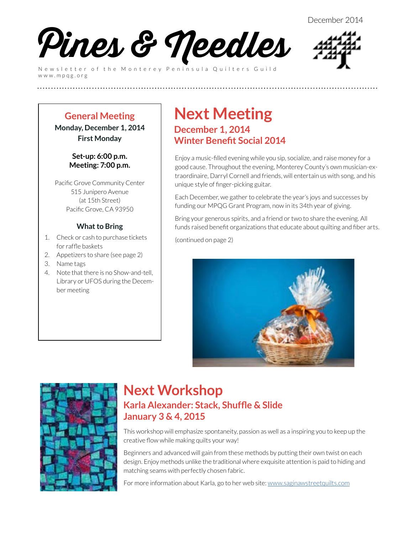

Newsletter of the Monterey Peninsula Quilters Guild www.mpqg.org



### **General Meeting Monday, December 1, 2014**

**First Monday**

#### **Set-up: 6:00 p.m. Meeting: 7:00 p.m.**

Pacific Grove Community Center 515 Junipero Avenue (at 15th Street) Pacific Grove, CA 93950

### **What to Bring**

- 1. Check or cash to purchase tickets for raffle baskets
- 2. Appetizers to share (see page 2)
- 3. Name tags
- 4. Note that there is no Show-and-tell, Library or UFOS during the December meeting

### **Next Meeting December 1, 2014 Winter Benefit Social 2014**

**(((((((((((((((((((((((((**

Enjoy a music-filled evening while you sip, socialize, and raise money for a good cause. Throughout the evening, Monterey County's own musician-extraordinaire, Darryl Cornell and friends, will entertain us with song, and his unique style of finger-picking guitar.

Each December, we gather to celebrate the year's joys and successes by funding our MPQG Grant Program, now in its 34th year of giving.

Bring your generous spirits, and a friend or two to share the evening. All funds raised benefit organizations that educate about quilting and fiber arts.

(continued on page 2)





### **Next Workshop Karla Alexander: Stack, Shuffle & Slide January 3 & 4, 2015**

This workshop will emphasize spontaneity, passion as well as a inspiring you to keep up the creative flow while making quilts your way!

Beginners and advanced will gain from these methods by putting their own twist on each design. Enjoy methods unlike the traditional where exquisite attention is paid to hiding and matching seams with perfectly chosen fabric.

For more information about Karla, go to her web site: [www.saginawstreetquilts.com](http://www.saginawstreetquilts.com/)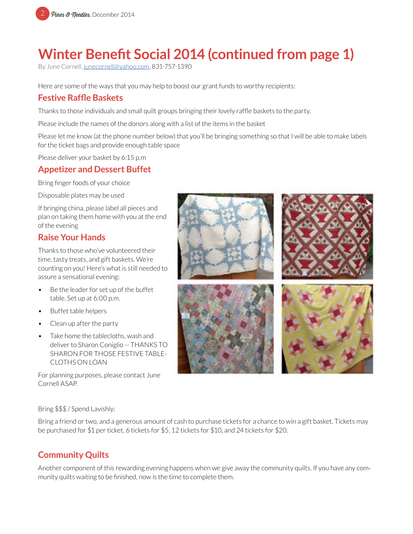

# **Winter Benefit Social 2014 (continued from page 1)**

By June Cornell, [junecornell@yahoo.com](mailto:junecornell%40yahoo.com?subject=MPQG%20Holiday%20Fundraising%20Event), 831-757-1390

Here are some of the ways that you may help to boost our grant funds to worthy recipients:

### **Festive Raffle Baskets**

Thanks to those individuals and small quilt groups bringing their lovely raffle baskets to the party.

Please include the names of the donors along with a list of the items in the basket

Please let me know (at the phone number below) that you'll be bringing something so that I will be able to make labels for the ticket bags and provide enough table space

Please deliver your basket by 6:15 p.m

### **Appetizer and Dessert Buffet**

Bring finger foods of your choice

Disposable plates may be used

If bringing china, please label all pieces and plan on taking them home with you at the end of the evening

### **Raise Your Hands**

Thanks to those who've volunteered their time, tasty treats, and gift baskets. We're counting on you! Here's what is still needed to assure a sensational evening:

- Be the leader for set up of the buffet table. Set up at 6:00 p.m.
- Buffet table helpers
- Clean up after the party
- Take home the tablecloths, wash and deliver to Sharon Coniglio -- THANKS TO SHARON FOR THOSE FESTIVE TABLE-CLOTHS ON LOAN

For planning purposes, please contact June Cornell ASAP.



Bring \$\$\$ / Spend Lavishly:

Bring a friend or two, and a generous amount of cash to purchase tickets for a chance to win a gift basket. Tickets may be purchased for \$1 per ticket, 6 tickets for \$5, 12 tickets for \$10, and 24 tickets for \$20.

### **Community Quilts**

Another component of this rewarding evening happens when we give away the community quilts. If you have any community quilts waiting to be finished, now is the time to complete them.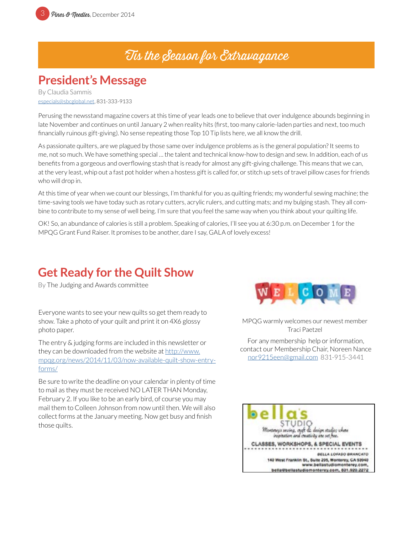## 'Tis the Season for Extravagance

## **President's Message**

By Claudia Sammis [especials@sbcglobal.net](mailto:especials%40sbcglobal.net?subject=MPQG), 831-333-9133

Perusing the newsstand magazine covers at this time of year leads one to believe that over indulgence abounds beginning in late November and continues on until January 2 when reality hits (first, too many calorie-laden parties and next, too much financially ruinous gift-giving). No sense repeating those Top 10 Tip lists here, we all know the drill.

As passionate quilters, are we plagued by those same over indulgence problems as is the general population? It seems to me, not so much. We have something special … the talent and technical know-how to design and sew. In addition, each of us benefits from a gorgeous and overflowing stash that is ready for almost any gift-giving challenge. This means that we can, at the very least, whip out a fast pot holder when a hostess gift is called for, or stitch up sets of travel pillow cases for friends who will drop in.

At this time of year when we count our blessings, I'm thankful for you as quilting friends; my wonderful sewing machine; the time-saving tools we have today such as rotary cutters, acrylic rulers, and cutting mats; and my bulging stash. They all combine to contribute to my sense of well being. I'm sure that you feel the same way when you think about your quilting life.

OK! So, an abundance of calories is still a problem. Speaking of calories, I'll see you at 6:30 p.m. on December 1 for the MPQG Grant Fund Raiser. It promises to be another, dare I say, GALA of lovely excess!

## **Get Ready for the Quilt Show**

By The Judging and Awards committee

Everyone wants to see your new quilts so get them ready to show. Take a photo of your quilt and print it on 4X6 glossy photo paper.

The entry & judging forms are included in this newsletter or they can be downloaded from the website at [http://www.](http://www.mpqg.org/news/2014/11/03/now-available-quilt-show-entry-forms/) [mpqg.org/news/2014/11/03/now-available-quilt-show-entry](http://www.mpqg.org/news/2014/11/03/now-available-quilt-show-entry-forms/)[forms/](http://www.mpqg.org/news/2014/11/03/now-available-quilt-show-entry-forms/)

Be sure to write the deadline on your calendar in plenty of time to mail as they must be received NO LATER THAN Monday, February 2. If you like to be an early bird, of course you may mail them to Colleen Johnson from now until then. We will also collect forms at the January meeting. Now get busy and finish those quilts.



MPQG warmly welcomes our newest member Traci Paetzel

For any membership help or information, contact our Membership Chair, Noreen Nance [nor9215een@gmail.com](mailto:nor9215een%40gmail.com?subject=MPQG%20Membership) 831-915-3441

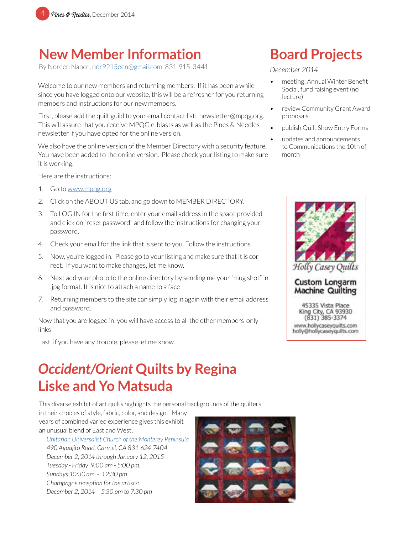

## **New Member Information**

By Noreen Nance, [nor9215een@gmail.com](mailto:nor9215een%40gmail.com?subject=MPQG%20Membership) 831-915-3441

Welcome to our new members and returning members. If it has been a while since you have logged onto our website, this will be a refresher for you returning members and instructions for our new members.

First, please add the quilt guild to your email contact list: newsletter@mpqg.org. This will assure that you receive MPQG e-blasts as well as the Pines & Needles newsletter if you have opted for the online version.

We also have the online version of the Member Directory with a security feature. You have been added to the online version. Please check your listing to make sure it is working.

Here are the instructions:

- 1. Go to [www.mpqg.org](http://www.mpqg.org)
- 2. Click on the ABOUT US tab, and go down to MEMBER DIRECTORY.
- 3. To LOG IN for the first time, enter your email address in the space provided and click on "reset password" and follow the instructions for changing your password.
- 4. Check your email for the link that is sent to you. Follow the instructions.
- 5. Now, you're logged in. Please go to your listing and make sure that it is correct. If you want to make changes, let me know.
- 6. Next add your photo to the online directory by sending me your "mug shot" in .jpg format. It is nice to attach a name to a face
- 7. Returning members to the site can simply log in again with their email address and password.

Now that you are logged in, you will have access to all the other members-only links

Last, if you have any trouble, please let me know.

## *Occident/Orient* **Quilts by Regina Liske and Yo Matsuda**

This diverse exhibit of art quilts highlights the personal backgrounds of the quilters

in their choices of style, fabric, color, and design. Many years of combined varied experience gives this exhibit an unusual blend of East and West.

*[Unitarian Universalist Church of the Monterey Peninsula](http://www.uucmp.org/) 490 Aguajito Road, Carmel, CA 831-624-7404 December 2, 2014 through January 12, 2015 Tuesday - Friday 9:00 am - 5:00 pm, Sundays 10:30 am - 12:30 pm Champagne reception for the artists: December 2, 2014 5:30 pm to 7:30 pm*



# **Board Projects**

#### *December 2014*

- meeting: Annual Winter Benefit Social, fund raising event (no lecture)
- review Community Grant Award proposals
- publish Quilt Show Entry Forms
- updates and announcements to Communications the 10th of month



**Custom Longarm Machine Quilting** 

45335 Vista Place King City, CA 93930  $(831)$  385-3374 www.hollycaseyquilts.com<br>holly@hollycaseyquilts.com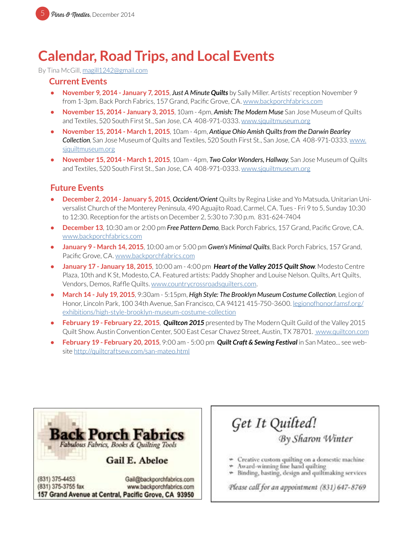## **Calendar, Road Trips, and Local Events**

By Tina McGill, [magill1242@gmail.com](mailto:magill1242%40gmail.com?subject=MPQG%20Calendar)

#### **Current Events**

- **• November 9, 2014 January 7, 2015**, *Just A Minute Quilts* by Sally Miller. Artists' reception November 9 from 1-3pm. Back Porch Fabrics, 157 Grand, Pacific Grove, CA. [www.backporchfabrics.com](http://www.backporchfabrics.com)
- **• November 15, 2014 January 3, 2015**, 10am 4pm, *Amish: The Modern Muse* San Jose Museum of Quilts and Textiles, 520 South First St., San Jose, CA 408-971-0333. [www.sjquiltmuseum.or](http://www.sjquiltmuseum.org)g
- **• November 15, 2014 March 1, 2015**, 10am 4pm, *Antique Ohio Amish Quilts from the Darwin Bearley Collection*, San Jose Museum of Quilts and Textiles, 520 South First St., San Jose, CA 408-971-0333. [www.](http://www.sjquiltmuseum.org) [sjquiltmuseum.or](http://www.sjquiltmuseum.org)g
- **• November 15, 2014 March 1, 2015**, 10am 4pm, *Two Color Wonders, Hallway*, San Jose Museum of Quilts and Textiles, 520 South First St., San Jose, CA 408-971-0333. [www.sjquiltmuseum.or](http://www.sjquiltmuseum.org)g

#### **Future Events**

- **• December 2, 2014 January 5, 2015**, *Occident/Orient* Quilts by Regina Liske and Yo Matsuda*.* Unitarian Universalist Church of the Monterey Peninsula, 490 Aguajito Road, Carmel, CA. Tues - Fri 9 to 5, Sunday 10:30 to 12:30. Reception for the artists on December 2, 5:30 to 7:30 p.m. 831-624-7404
- **• December 13**, 10:30 am or 2:00 pm *Free Pattern Demo*, Back Porch Fabrics, 157 Grand, Pacific Grove, CA. [www.backporchfabrics.com](http://www.backporchfabrics.com)
- **• January 9 March 14, 2015**, 10:00 am or 5:00 pm *Gwen's Minimal Quilts*, Back Porch Fabrics, 157 Grand, Pacific Grove, CA. [www.backporchfabrics.com](http://www.backporchfabrics.com)
- **• January 17 January 18, 2015**, 10:00 am 4:00 pm *Heart of the Valley 2015 Quilt Show*. Modesto Centre Plaza, 10th and K St, Modesto, CA. Featured artists: Paddy Shopher and Louise Nelson. Quilts, Art Quilts, Vendors, Demos, Raffle Quilts. [www.countrycrossroadsquilters.com](http://www.countrycrossroadsquilters.com).
- **• March 14 July 19, 2015**, 9:30am 5:15pm, *High Style: The Brooklyn Museum Costume Collection*, Legion of Honor, Lincoln Park, 100 34th Avenue, San Francisco, CA 94121 415-750-3600. l[egionofhonor.famsf.org/](http://legionofhonor.famsf.org/exhibitions/high-style-brooklyn-museum-costume-collection) [exhibitions/high-style-brooklyn-museum-costume-collection](http://legionofhonor.famsf.org/exhibitions/high-style-brooklyn-museum-costume-collection)
- **• February 19 February 22, 2015**, *Quiltcon 2015* presented by The Modern Quilt Guild of the Valley 2015 Quilt Show. Austin Convention Center, 500 East Cesar Chavez Street, Austin, TX 78701. [www.quiltcon.com](http://www.quiltcon.com)
- **• February 19 February 20, 2015**, 9:00 am 5:00 pm *Quilt Craft & Sewing Festival* in San Mateo... see website <http://quiltcraftsew.com/san-mateo.html>



(831) 375-3755 fax www.backporchfabrics.com 157 Grand Avenue at Central, Pacific Grove, CA 93950

## Get It Quilted! By Sharon Winter

- \* Creative custom quilting on a domestic machine
- Award-winning fine hand quilting
- Binding, basting, design and quiltmaking services

Please call for an appointment (831) 647-8769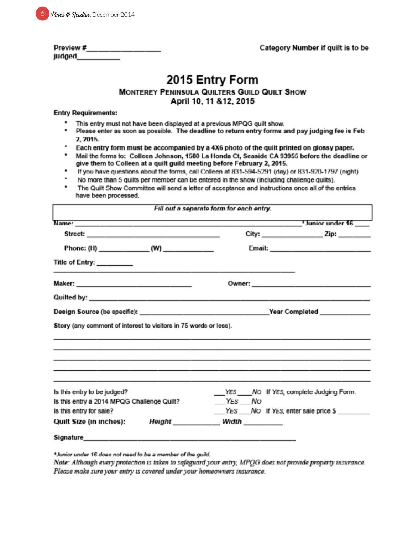|  | 6 <i>Pines &amp; Needles</i> , December 2014 |
|--|----------------------------------------------|
|--|----------------------------------------------|

| Preview # |  |  |
|-----------|--|--|
| judged    |  |  |

## 2015 Entry Form

#### MONTEREY PENINSULA QUILTERS GUILD QUILT SHOW April 10, 11 & 12, 2015

#### **Entry Requirements:**

- This entry must not have been displayed at a previous MPQG quilt show.
- . Please enter as soon as possible. The deadline to return entry forms and pay judging fee is Feb 2, 2015.
- Each entry form must be accompanied by a 4X6 photo of the quilt printed on glossy paper.
- ٠ Mail the forms to: Colleen Johnson, 1580 La Honda Ct, Seaside CA 93955 before the deadline or give them to Colleen at a quilt guild meeting before February 2, 2015.
- If you have questions about the forms, call Colleen at 831-594-5291 (day) or 831-920-1797 (night) .
- No more than 5 quilts per member can be entered in the show (including challenge quilts).
- The Quilt Show Committee will send a letter of acceptance and instructions once all of the entries have been processed.

|                                       | $City:$ $Zip:$ $Zip:$                                            |
|---------------------------------------|------------------------------------------------------------------|
|                                       |                                                                  |
|                                       |                                                                  |
|                                       |                                                                  |
|                                       |                                                                  |
|                                       |                                                                  |
|                                       |                                                                  |
|                                       |                                                                  |
| YES NO If YES, complete Judging Form. |                                                                  |
| YES NO                                |                                                                  |
| YES NO If YES, enter sale price \$    |                                                                  |
|                                       |                                                                  |
|                                       | Story (any comment of interest to visitors in 75 words or less). |

\*Junior under 16 does not need to be a member of the guild.

Note: Although every protection is taken to safeguard your entry, MPQG does not provide property insurance. Please make sure your entry is covered under your homeowners insurance.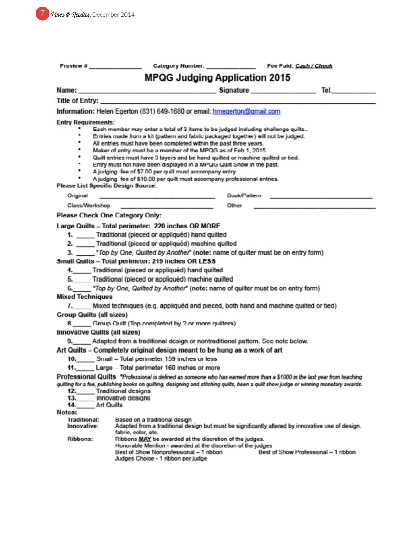| Preview #                            | <u> Alexandria (m. 1984)</u>                                                                                                                                                                                                            |  |  |  |
|--------------------------------------|-----------------------------------------------------------------------------------------------------------------------------------------------------------------------------------------------------------------------------------------|--|--|--|
|                                      | <b>MPQG Judging Application 2015</b>                                                                                                                                                                                                    |  |  |  |
|                                      |                                                                                                                                                                                                                                         |  |  |  |
| Title of Entry:                      |                                                                                                                                                                                                                                         |  |  |  |
|                                      | Information: Helen Egerton (831) 649-1680 or email: hmegerton@gmail.com                                                                                                                                                                 |  |  |  |
| <b>Entry Requirements:</b>           |                                                                                                                                                                                                                                         |  |  |  |
| ٠                                    | Each member may enter a total of 3 items to be judged including challenge quilts                                                                                                                                                        |  |  |  |
| ٠                                    | ۰<br>Entries made from a kit (pattern and fabric packaged together) will not be judged.                                                                                                                                                 |  |  |  |
| ٠                                    | All entries must have been completed within the past three years.<br>Maker of entry must be a member of the MPQG as of Feb 1, 2015                                                                                                      |  |  |  |
| ٠                                    | Quilt entries must have 3 layers and be hand quilted or machine quilted or tied.                                                                                                                                                        |  |  |  |
| ٠<br>٠                               | Entry must not have been displayed in a MPQG Quilt Show in the past.                                                                                                                                                                    |  |  |  |
|                                      | A judging fee of \$7.00 per quilt must accompany entry.<br>A judging fee of \$10.00 per quilt must accompany professional entries.                                                                                                      |  |  |  |
| Please List Specific Design Source.  |                                                                                                                                                                                                                                         |  |  |  |
| Original                             | <b>Dook/Pattern</b><br>والمستوات والمستحقق والمستعمل والمستعين والمستعين<br>the company of the property of the company                                                                                                                  |  |  |  |
|                                      | Class/Workshop and the contract of the contract of the contract of the contract of the contract of the contract of the contract of the contract of the contract of the contract of the contract of the contract of the contrac<br>Other |  |  |  |
| Please Check One Category Only:      |                                                                                                                                                                                                                                         |  |  |  |
|                                      | Large Quilts - Total perimeter: 220 inches OR MORF                                                                                                                                                                                      |  |  |  |
|                                      | 1. Traditional (pieced or appliquéd) hand quilted                                                                                                                                                                                       |  |  |  |
|                                      | 2. ____ Traditional (picced or appliquéd) machine quilted                                                                                                                                                                               |  |  |  |
|                                      | 3. ____ *Top by One, Quilted by Another" (note: name of quilter must be on entry form)                                                                                                                                                  |  |  |  |
|                                      | Small Quilts - Total perimeter: 219 inches OR LESS                                                                                                                                                                                      |  |  |  |
|                                      | 4. Traditional (pieced or appliquéd) hand quilted                                                                                                                                                                                       |  |  |  |
| 5.                                   | Traditional (pieced or appliquéd) machine quilted                                                                                                                                                                                       |  |  |  |
|                                      | 6. "Top by One, Quilted by Another" (note: name of quilter must be on entry form)                                                                                                                                                       |  |  |  |
| <b>Mixed Techniques</b>              |                                                                                                                                                                                                                                         |  |  |  |
| 7.                                   | Mixed techniques (e.g. appliquéd and pieced, both hand and machine quilted or tied)                                                                                                                                                     |  |  |  |
| <b>Group Quilts (all sizcs)</b>      |                                                                                                                                                                                                                                         |  |  |  |
|                                      | 8._____ Group Quilt (Top completed by 2 or more quilters)                                                                                                                                                                               |  |  |  |
| <b>Innovative Quilts (all sizes)</b> |                                                                                                                                                                                                                                         |  |  |  |
|                                      | 9. Adapted from a traditional design or nontraditional pattern. See note below.                                                                                                                                                         |  |  |  |
|                                      | Art Quilts - Completely original design meant to be hung as a work of art                                                                                                                                                               |  |  |  |
| 11.                                  | 10. Small - Total perimeter 159 inches or less<br>Large - Total perimeter 160 inches or more                                                                                                                                            |  |  |  |
|                                      | Professional Quilts *Professional is defined as someone who has earned more than a \$1000 in the last year from teaching                                                                                                                |  |  |  |
|                                      | quilting for a fee, publishing books on quilting, designing and stitching quilts, been a quilt show judge or winning monetary awards.                                                                                                   |  |  |  |
| 12. _____                            | Traditional designs                                                                                                                                                                                                                     |  |  |  |
| 13.<br>14.<br>Art Quilts             | Innovative designs                                                                                                                                                                                                                      |  |  |  |
| Notes:                               |                                                                                                                                                                                                                                         |  |  |  |
| <b>Iraditional:</b>                  | Based on a traditional design                                                                                                                                                                                                           |  |  |  |
| Innovative:                          | Adapted from a traditional design but must be significantly altered by innovative use of design.<br>fabric, color, etc.                                                                                                                 |  |  |  |
| Ribbons:                             | Ribbons MAY be awarded at the discretion of the judges.                                                                                                                                                                                 |  |  |  |
|                                      | Honorable Mention - awarded at the discretion of the judges<br>Best of Show Nonprofessional - 1 ribbon<br>Best of Show Professional - 1 nbbon                                                                                           |  |  |  |
|                                      |                                                                                                                                                                                                                                         |  |  |  |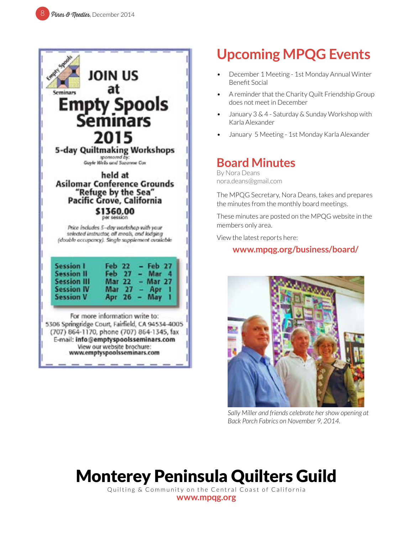

# **Upcoming MPQG Events**

- December 1 Meeting 1st Monday Annual Winter Benefit Social
- A reminder that the Charity Quilt Friendship Group does not meet in December
- January 3 & 4 Saturday & Sunday Workshop with Karla Alexander
- January 5 Meeting 1st Monday Karla Alexander

### **Board Minutes**

By Nora Deans nora.deans@gmail.com

The MPQG Secretary, Nora Deans, takes and prepares the minutes from the monthly board meetings.

These minutes are posted on the MPQG website in the members only area.

View the latest reports here:

### **[www.mpqg.org/business/board/](http://www.mpqg.org/business/board/ )**



*Sally Miller and friends celebrate her show opening at Back Porch Fabrics on November 9, 2014.*

# Monterey Peninsula Quilters Guild

Quilting & Community on the Central Coast of California **[www.mpqg.org](http://www.mpqg.org)**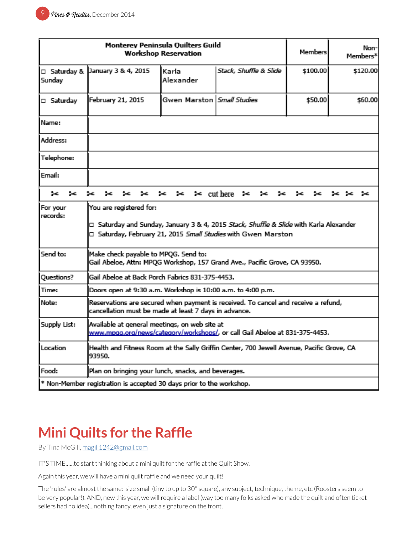| Monterey Peninsula Quilters Guild<br><b>Workshop Reservation</b>     |                                                                                                                                                                                               |                                     |                              |          | Non-<br>Members* |
|----------------------------------------------------------------------|-----------------------------------------------------------------------------------------------------------------------------------------------------------------------------------------------|-------------------------------------|------------------------------|----------|------------------|
| □ Saturday &<br>Sunday                                               | January 3 & 4, 2015                                                                                                                                                                           | Karla<br>Alexander                  | Stack, Shuffle & Slide       | \$100.00 | \$120.00         |
| □ Saturday                                                           | February 21, 2015                                                                                                                                                                             | Gwen Marston   <i>Small Studies</i> |                              | \$50.00  | \$60.00          |
| Name:                                                                |                                                                                                                                                                                               |                                     |                              |          |                  |
| Address:                                                             |                                                                                                                                                                                               |                                     |                              |          |                  |
| Telephone:                                                           |                                                                                                                                                                                               |                                     |                              |          |                  |
| Email:                                                               |                                                                                                                                                                                               |                                     |                              |          |                  |
| ⊶<br>∗                                                               | 5c                                                                                                                                                                                            | ⊱<br>⊱                              | $\approx$ cut here<br>⊱<br>⊶ |          | ⊶                |
| For your<br>records:                                                 | You are registered for:<br>□ Saturday and Sunday, January 3 & 4, 2015 <i>Stack, Shuffle &amp; Slide</i> with Karla Alexander<br>□ Saturday, February 21, 2015 Small Studies with Gwen Marston |                                     |                              |          |                  |
| Send to:                                                             | Make check payable to MPQG. Send to:<br>Gail Abeloe, Attn: MPQG Workshop, 157 Grand Ave., Pacific Grove, CA 93950.                                                                            |                                     |                              |          |                  |
| Questions?                                                           | Gail Abeloe at Back Porch Fabrics 831-375-4453.                                                                                                                                               |                                     |                              |          |                  |
| Time:<br>Doors open at 9:30 a.m. Workshop is 10:00 a.m. to 4:00 p.m. |                                                                                                                                                                                               |                                     |                              |          |                  |
| Note:                                                                | Reservations are secured when payment is received. To cancel and receive a refund,<br>cancellation must be made at least 7 days in advance.                                                   |                                     |                              |          |                  |
| Supply List:                                                         | Available at general meetings, on web site at<br>www.mpgg.org/news/category/workshops/, or call Gail Abeloe at 831-375-4453.                                                                  |                                     |                              |          |                  |
| Location                                                             | Health and Fitness Room at the Sally Griffin Center, 700 Jewell Avenue, Pacific Grove, CA<br>93950.                                                                                           |                                     |                              |          |                  |
| Food:                                                                | Plan on bringing your lunch, snacks, and beverages.                                                                                                                                           |                                     |                              |          |                  |
|                                                                      | * Non-Member registration is accepted 30 days prior to the workshop.                                                                                                                          |                                     |                              |          |                  |

# **Mini Quilts for the Raffle**

By Tina McGill, [magill1242@gmail.com](mailto:magill1242%40gmail.com?subject=MPQG%20Calendar)

IT'S TIME......to start thinking about a mini quilt for the raffle at the Quilt Show.

Again this year, we will have a mini quilt raffle and we need your quilt!

The 'rules' are almost the same: size small (tiny to up to 30" square), any subject, technique, theme, etc (Roosters seem to be very popular!). AND, new this year, we will require a label (way too many folks asked who made the quilt and often ticket sellers had no idea)...nothing fancy, even just a signature on the front.